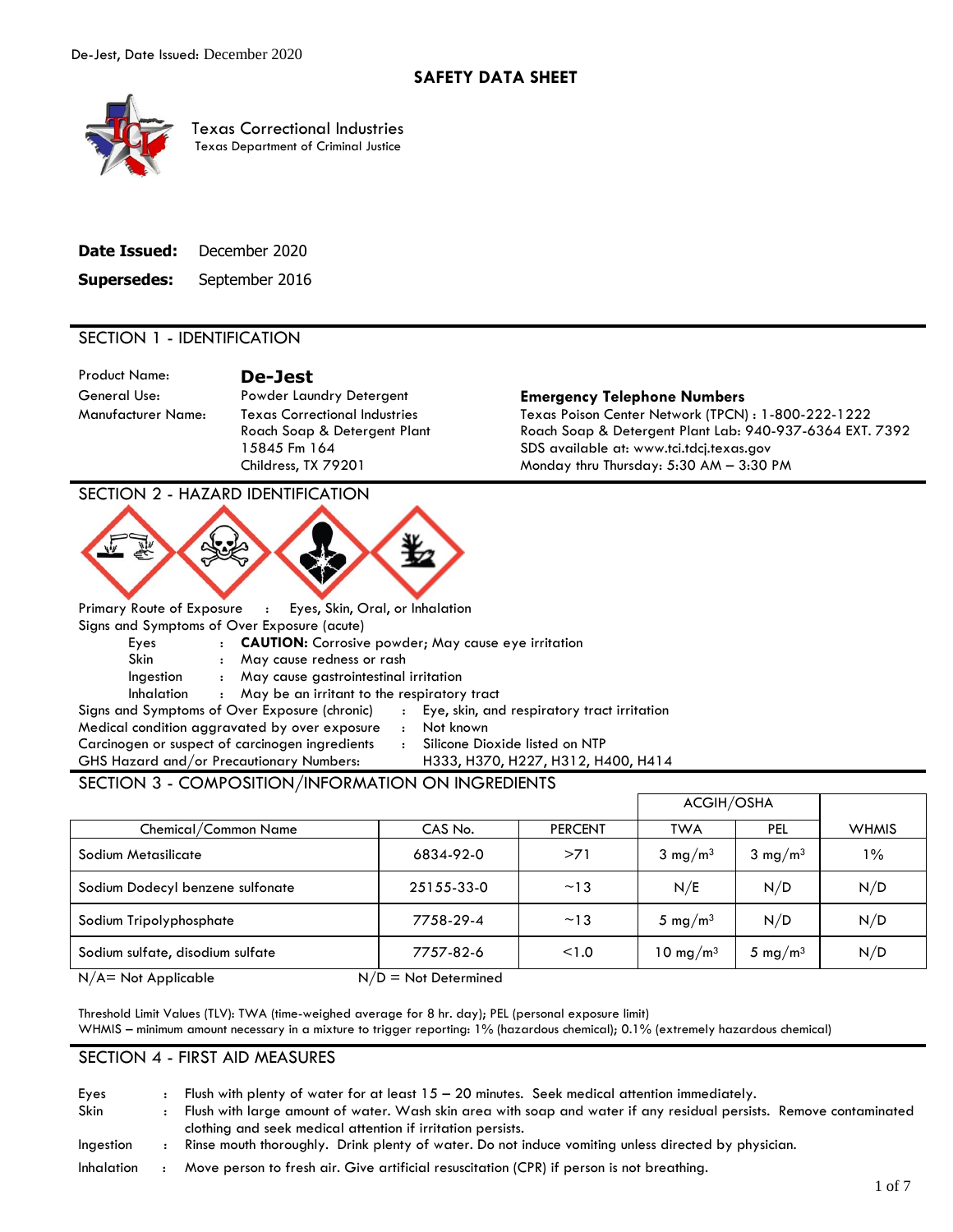

Texas Correctional Industries Texas Department of Criminal Justice

| Date Issued:       | December 2020  |
|--------------------|----------------|
| <b>Supersedes:</b> | September 2016 |

# SECTION 1 - IDENTIFICATION

Product Name: **De-Jest** 

#### General Use: Powder Laundry Detergent **Emergency Telephone Numbers**

Manufacturer Name: Texas Correctional Industries Texas Poison Center Network (TPCN) : 1-800-222-1222 Roach Soap & Detergent Plant Roach Soap & Detergent Plant Lab: 940-937-6364 EXT. 7392 15845 Fm 164 SDS available at: www.tci.tdcj.texas.gov Childress, TX 79201 Monday thru Thursday: 5:30 AM – 3:30 PM

SECTION 2 - HAZARD IDENTIFICATION



Primary Route of Exposure : Eyes, Skin, Oral, or Inhalation Signs and Symptoms of Over Exposure (acute)

Eyes : **CAUTION:** Corrosive powder; May cause eye irritation

Skin : May cause redness or rash

Ingestion : May cause gastrointestinal irritation

Inhalation : May be an irritant to the respiratory tract

Signs and Symptoms of Over Exposure (chronic) : Eye, skin, and respiratory tract irritation Medical condition aggravated by over exposure : Not known Carcinogen or suspect of carcinogen ingredients : Silicone Dioxide listed on NTP

GHS Hazard and/or Precautionary Numbers: H333, H370, H227, H312, H400, H414

# SECTION 3 - COMPOSITION/INFORMATION ON INGREDIENTS

|                                  |                        |                | ACGIH/OSHA           |                     |              |
|----------------------------------|------------------------|----------------|----------------------|---------------------|--------------|
| Chemical/Common Name             | CAS No.                | <b>PERCENT</b> | <b>TWA</b>           | PEL                 | <b>WHMIS</b> |
| Sodium Metasilicate              | 6834-92-0              | >71            | $3 \text{ mg/m}^3$   | $3 \text{ mg/m}^3$  | $1\%$        |
| Sodium Dodecyl benzene sulfonate | 25155-33-0             | ~13            | N/E                  | N/D                 | N/D          |
| Sodium Tripolyphosphate          | 7758-29-4              | ~13            | 5 mg/m <sup>3</sup>  | N/D                 | N/D          |
| Sodium sulfate, disodium sulfate | 7757-82-6              | < 1.0          | 10 mg/m <sup>3</sup> | 5 mg/m <sup>3</sup> | N/D          |
| $N/A$ = Not Applicable           | $N/D = Not$ Determined |                |                      |                     |              |

 Threshold Limit Values (TLV): TWA (time-weighed average for 8 hr. day); PEL (personal exposure limit) WHMIS – minimum amount necessary in a mixture to trigger reporting: 1% (hazardous chemical); 0.1% (extremely hazardous chemical)

# SECTION 4 - FIRST AID MEASURES

| Eyes       | Flush with plenty of water for at least $15 - 20$ minutes. Seek medical attention immediately.                     |
|------------|--------------------------------------------------------------------------------------------------------------------|
| Skin       | Flush with large amount of water. Wash skin area with soap and water if any residual persists. Remove contaminated |
|            | clothing and seek medical attention if irritation persists.                                                        |
| Ingestion  | Rinse mouth thoroughly. Drink plenty of water. Do not induce vomiting unless directed by physician.                |
| Inhalation | Move person to fresh air. Give artificial resuscitation (CPR) if person is not breathing.                          |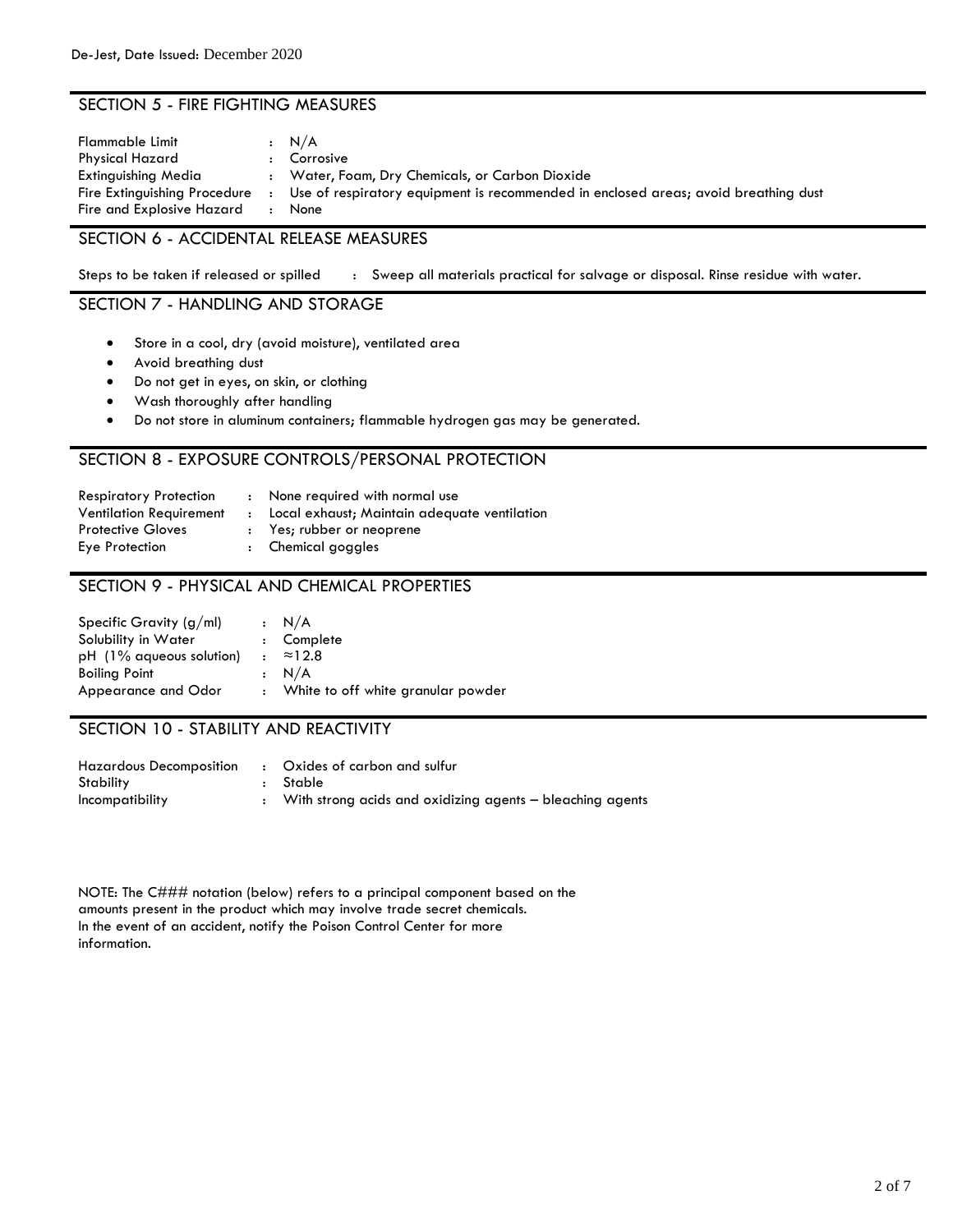# SECTION 5 - FIRE FIGHTING MEASURES

| Flammable Limit<br>Physical Hazard<br>Extinguishing Media<br>Fire Extinguishing Procedure | : N/A<br>Corrosive<br>Water, Foam, Dry Chemicals, or Carbon Dioxide<br>Use of respiratory equipment is recommended in enclosed areas; avoid breathing dust |
|-------------------------------------------------------------------------------------------|------------------------------------------------------------------------------------------------------------------------------------------------------------|
| Fire and Explosive Hazard                                                                 | None                                                                                                                                                       |

## SECTION 6 - ACCIDENTAL RELEASE MEASURES

Steps to be taken if released or spilled : Sweep all materials practical for salvage or disposal. Rinse residue with water.

# SECTION 7 - HANDLING AND STORAGE

- Store in a cool, dry (avoid moisture), ventilated area
- Avoid breathing dust
- Do not get in eyes, on skin, or clothing
- **•** Wash thoroughly after handling
- Do not store in aluminum containers; flammable hydrogen gas may be generated.

# SECTION 8 - EXPOSURE CONTROLS/PERSONAL PROTECTION

| Respiratory Protection  |              | : None required with normal use              |
|-------------------------|--------------|----------------------------------------------|
| Ventilation Requirement | $\mathbf{r}$ | Local exhaust; Maintain adequate ventilation |
| Protective Gloves       |              | : Yes; rubber or neoprene                    |
| Eye Protection          |              | : Chemical goggles                           |

## SECTION 9 - PHYSICAL AND CHEMICAL PROPERTIES

| Specific Gravity $(g/ml)$ |                  | : N/A                                |
|---------------------------|------------------|--------------------------------------|
| Solubility in Water       |                  | : Complete                           |
| pH (1% aqueous solution)  | $\ddot{\bullet}$ | ≈12.8                                |
| <b>Boiling Point</b>      |                  | : N/A                                |
| Appearance and Odor       |                  | : White to off white granular powder |

## SECTION 10 - STABILITY AND REACTIVITY

| Hazardous Decomposition | : Oxides of carbon and sulfur                             |
|-------------------------|-----------------------------------------------------------|
| Stability               | – Stable                                                  |
| Incompatibility         | With strong acids and oxidizing agents – bleaching agents |

 NOTE: The C### notation (below) refers to a principal component based on the In the event of an accident, notify the Poison Control Center for more information. amounts present in the product which may involve trade secret chemicals.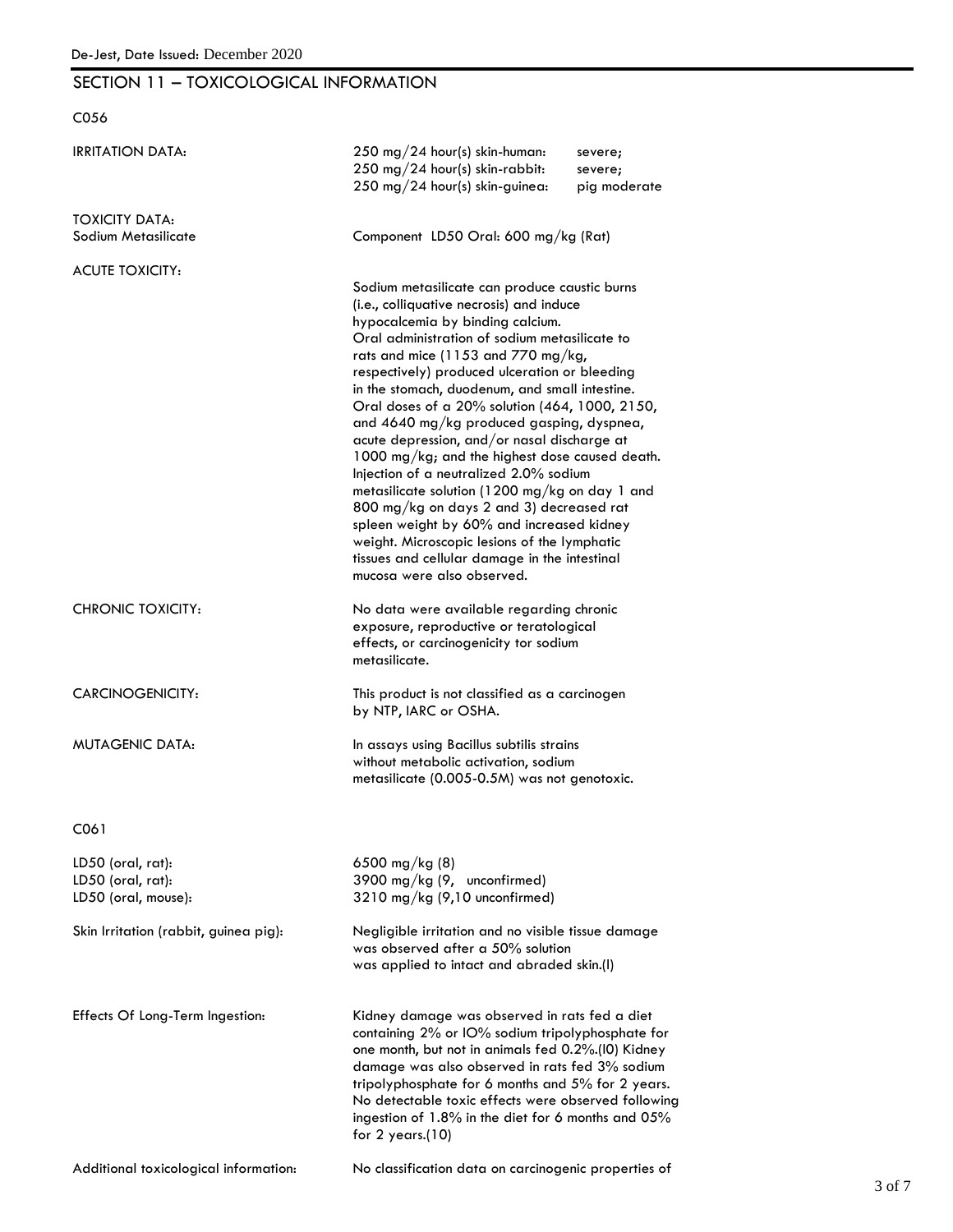# SECTION 11 – TOXICOLOGICAL INFORMATION

C056

| <b>IRRITATION DATA:</b>                                       | 250 mg/24 hour(s) skin-human:<br>250 mg/24 hour(s) skin-rabbit:<br>250 mg/24 hour(s) skin-guinea:                                                                                                                                                                                                                                                                                                                                                                                                                                                                                                                                                                                                                                                                                                                                           | severe;<br>severe;<br>pig moderate |
|---------------------------------------------------------------|---------------------------------------------------------------------------------------------------------------------------------------------------------------------------------------------------------------------------------------------------------------------------------------------------------------------------------------------------------------------------------------------------------------------------------------------------------------------------------------------------------------------------------------------------------------------------------------------------------------------------------------------------------------------------------------------------------------------------------------------------------------------------------------------------------------------------------------------|------------------------------------|
| <b>TOXICITY DATA:</b><br>Sodium Metasilicate                  | Component LD50 Oral: 600 mg/kg (Rat)                                                                                                                                                                                                                                                                                                                                                                                                                                                                                                                                                                                                                                                                                                                                                                                                        |                                    |
| <b>ACUTE TOXICITY:</b>                                        | Sodium metasilicate can produce caustic burns<br>(i.e., colliquative necrosis) and induce<br>hypocalcemia by binding calcium.<br>Oral administration of sodium metasilicate to<br>rats and mice (1153 and 770 mg/kg,<br>respectively) produced ulceration or bleeding<br>in the stomach, duodenum, and small intestine.<br>Oral doses of a 20% solution (464, 1000, 2150,<br>and 4640 mg/kg produced gasping, dyspnea,<br>acute depression, and/or nasal discharge at<br>1000 mg/kg; and the highest dose caused death.<br>Injection of a neutralized 2.0% sodium<br>metasilicate solution (1200 mg/kg on day 1 and<br>800 mg/kg on days 2 and 3) decreased rat<br>spleen weight by 60% and increased kidney<br>weight. Microscopic lesions of the lymphatic<br>tissues and cellular damage in the intestinal<br>mucosa were also observed. |                                    |
| <b>CHRONIC TOXICITY:</b>                                      | No data were available regarding chronic<br>exposure, reproductive or teratological<br>effects, or carcinogenicity tor sodium<br>metasilicate.                                                                                                                                                                                                                                                                                                                                                                                                                                                                                                                                                                                                                                                                                              |                                    |
| CARCINOGENICITY:                                              | This product is not classified as a carcinogen<br>by NTP, IARC or OSHA.                                                                                                                                                                                                                                                                                                                                                                                                                                                                                                                                                                                                                                                                                                                                                                     |                                    |
| MUTAGENIC DATA:                                               | In assays using Bacillus subtilis strains<br>without metabolic activation, sodium<br>metasilicate (0.005-0.5M) was not genotoxic.                                                                                                                                                                                                                                                                                                                                                                                                                                                                                                                                                                                                                                                                                                           |                                    |
| C061                                                          |                                                                                                                                                                                                                                                                                                                                                                                                                                                                                                                                                                                                                                                                                                                                                                                                                                             |                                    |
| LD50 (oral, rat):<br>LD50 (oral, rat):<br>LD50 (oral, mouse): | 6500 mg/kg $(8)$<br>3900 mg/kg (9, unconfirmed)<br>3210 mg/kg (9,10 unconfirmed)                                                                                                                                                                                                                                                                                                                                                                                                                                                                                                                                                                                                                                                                                                                                                            |                                    |
| Skin Irritation (rabbit, guinea pig):                         | Negligible irritation and no visible tissue damage<br>was observed after a 50% solution<br>was applied to intact and abraded skin.(I)                                                                                                                                                                                                                                                                                                                                                                                                                                                                                                                                                                                                                                                                                                       |                                    |
| Effects Of Long-Term Ingestion:                               | Kidney damage was observed in rats fed a diet<br>containing 2% or IO% sodium tripolyphosphate for<br>one month, but not in animals fed 0.2%.(I0) Kidney<br>damage was also observed in rats fed 3% sodium<br>tripolyphosphate for 6 months and 5% for 2 years.<br>No detectable toxic effects were observed following<br>ingestion of 1.8% in the diet for 6 months and 05%<br>for $2$ years.(10)                                                                                                                                                                                                                                                                                                                                                                                                                                           |                                    |
| Additional toxicological information:                         | No classification data on carcinogenic properties of                                                                                                                                                                                                                                                                                                                                                                                                                                                                                                                                                                                                                                                                                                                                                                                        |                                    |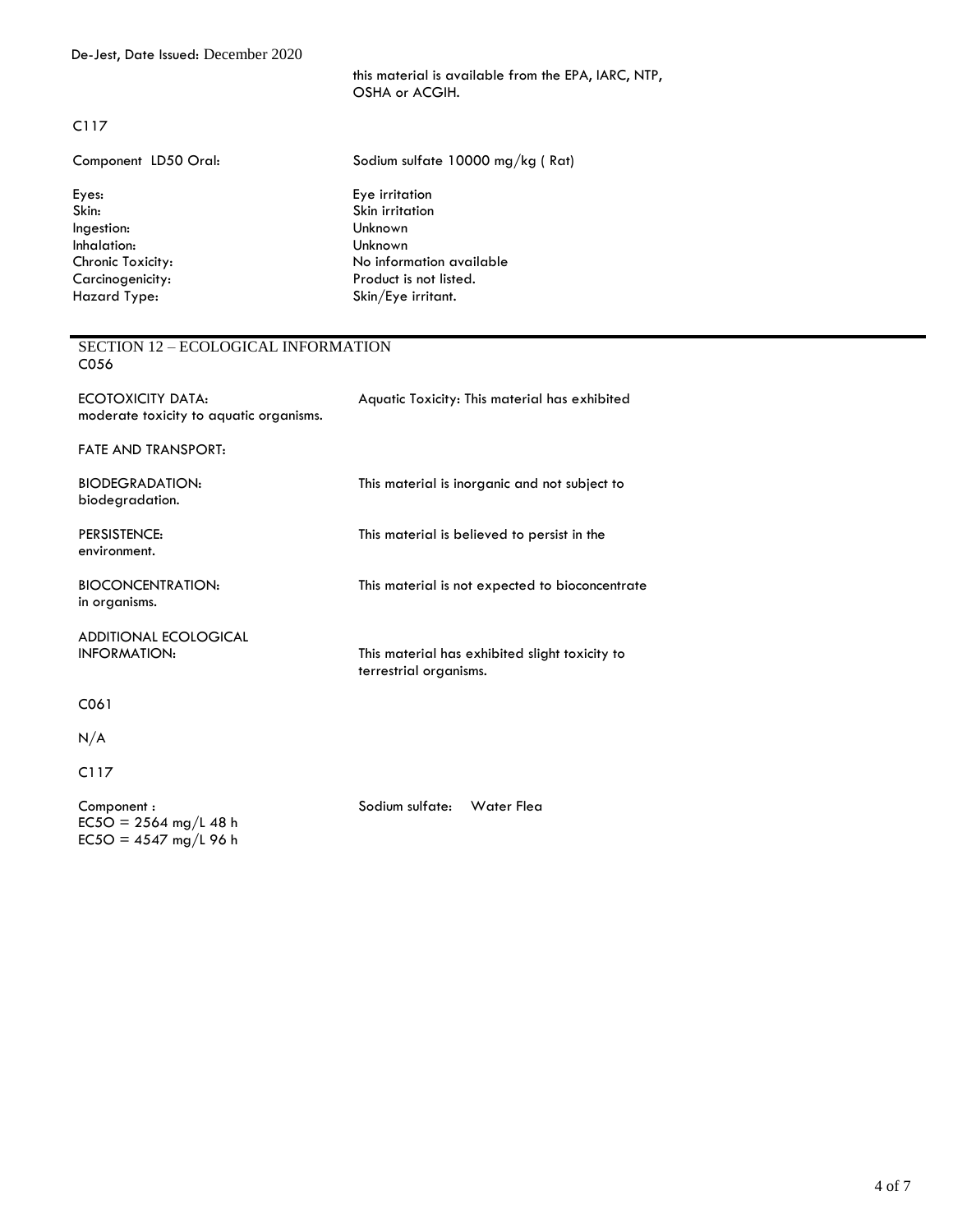this material is available from the EPA, IARC, NTP, OSHA or ACGIH.

#### C117

| Component LD50 Oral: | Sodium sulfate 10000 mg/kg (Rat) |
|----------------------|----------------------------------|
| Eyes:                | Eye irritation                   |
| Skin:                | Skin irritation                  |
| Ingestion:           | Unknown                          |
| Inhalation:          | Unknown                          |
| Chronic Toxicity:    | No information available         |
| Carcinogenicity:     | Product is not listed.           |
| Hazard Type:         | Skin/Eye irritant.               |
|                      |                                  |

#### SECTION 12 – ECOLOGICAL INFORMATION C056

| ECOTOXICITY DATA:<br>moderate toxicity to aquatic organisms. | Aquatic Toxicity: This material has exhibited                            |
|--------------------------------------------------------------|--------------------------------------------------------------------------|
| <b>FATE AND TRANSPORT:</b>                                   |                                                                          |
| <b>BIODEGRADATION:</b><br>biodegradation.                    | This material is inorganic and not subject to                            |
| PERSISTENCE:<br>environment.                                 | This material is believed to persist in the                              |
| <b>BIOCONCENTRATION:</b><br>in organisms.                    | This material is not expected to bioconcentrate                          |
| <b>ADDITIONAL ECOLOGICAL</b><br><b>INFORMATION:</b>          | This material has exhibited slight toxicity to<br>terrestrial organisms. |
| C061                                                         |                                                                          |
| N/A                                                          |                                                                          |
| C117                                                         |                                                                          |

Component : Sodium sulfate: Water Flea  $EC5O = 2564$  mg/L 48 h  $EC5O = 4547$  mg/L 96 h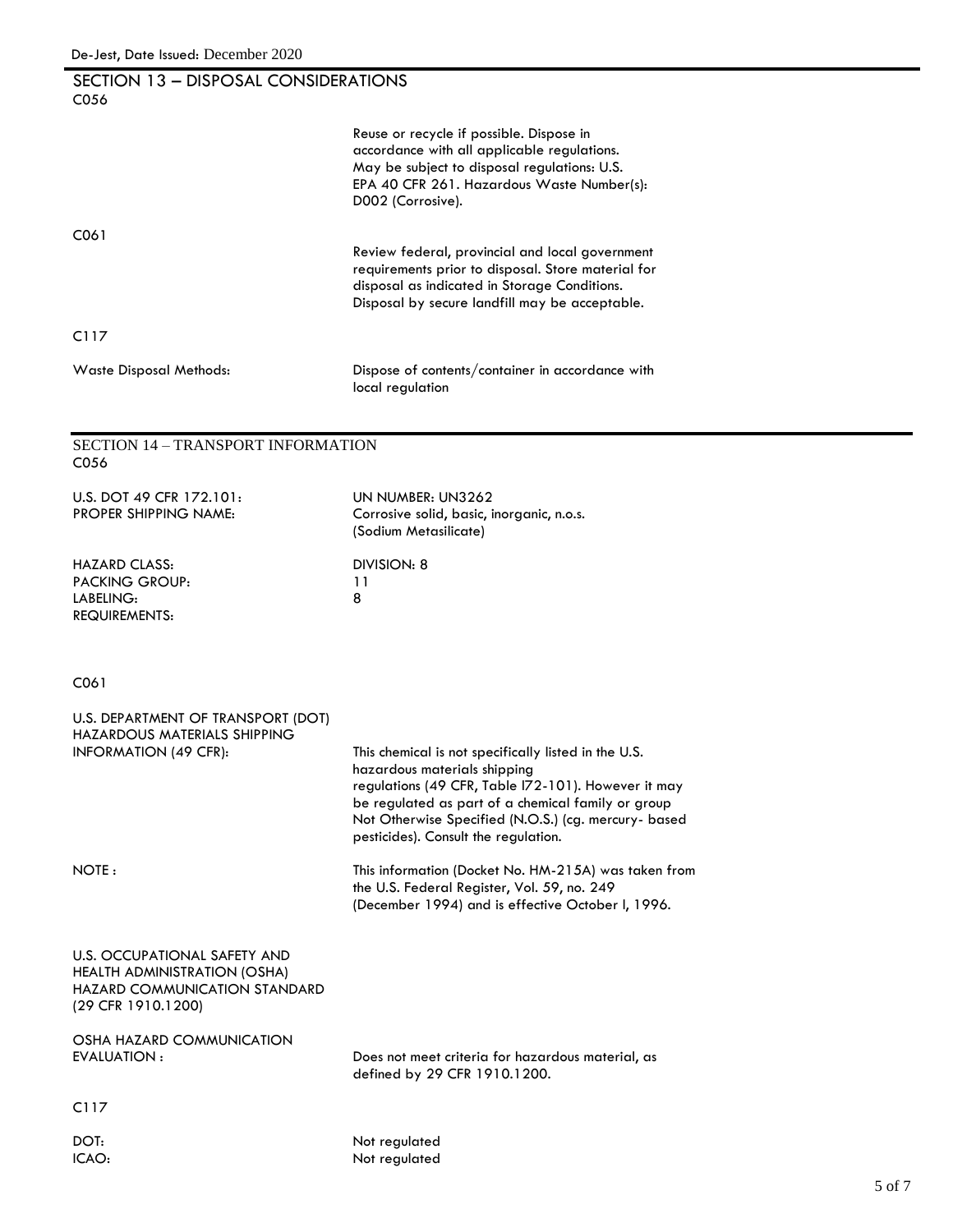| SECTION 13 - DISPOSAL CONSIDERATIONS<br>C056                                                                               |                                                                                                                                                                                                                                                                                                   |
|----------------------------------------------------------------------------------------------------------------------------|---------------------------------------------------------------------------------------------------------------------------------------------------------------------------------------------------------------------------------------------------------------------------------------------------|
|                                                                                                                            | Reuse or recycle if possible. Dispose in<br>accordance with all applicable regulations.<br>May be subject to disposal regulations: U.S.<br>EPA 40 CFR 261. Hazardous Waste Number(s):<br>D002 (Corrosive).                                                                                        |
| C061                                                                                                                       | Review federal, provincial and local government<br>requirements prior to disposal. Store material for<br>disposal as indicated in Storage Conditions.<br>Disposal by secure landfill may be acceptable.                                                                                           |
| C117                                                                                                                       |                                                                                                                                                                                                                                                                                                   |
| Waste Disposal Methods:                                                                                                    | Dispose of contents/container in accordance with<br>local regulation                                                                                                                                                                                                                              |
|                                                                                                                            |                                                                                                                                                                                                                                                                                                   |
| <b>SECTION 14 - TRANSPORT INFORMATION</b><br>C056                                                                          |                                                                                                                                                                                                                                                                                                   |
| U.S. DOT 49 CFR 172.101:<br><b>PROPER SHIPPING NAME:</b>                                                                   | UN NUMBER: UN3262<br>Corrosive solid, basic, inorganic, n.o.s.<br>(Sodium Metasilicate)                                                                                                                                                                                                           |
| HAZARD CLASS:<br><b>PACKING GROUP:</b><br>LABELING:<br>REQUIREMENTS:                                                       | DIVISION: 8<br>11<br>8                                                                                                                                                                                                                                                                            |
| C061                                                                                                                       |                                                                                                                                                                                                                                                                                                   |
| U.S. DEPARTMENT OF TRANSPORT (DOT)<br>HAZARDOUS MATERIALS SHIPPING<br><b>INFORMATION (49 CFR):</b>                         | This chemical is not specifically listed in the U.S.<br>hazardous materials shipping<br>regulations (49 CFR, Table I72-101). However it may<br>be regulated as part of a chemical family or group<br>Not Otherwise Specified (N.O.S.) (cg. mercury- based<br>pesticides). Consult the regulation. |
| NOTE:                                                                                                                      | This information (Docket No. HM-215A) was taken from<br>the U.S. Federal Register, Vol. 59, no. 249<br>(December 1994) and is effective October I, 1996.                                                                                                                                          |
| <b>U.S. OCCUPATIONAL SAFETY AND</b><br>HEALTH ADMINISTRATION (OSHA)<br>HAZARD COMMUNICATION STANDARD<br>(29 CFR 1910.1200) |                                                                                                                                                                                                                                                                                                   |
| OSHA HAZARD COMMUNICATION<br>EVALUATION :                                                                                  | Does not meet criteria for hazardous material, as<br>defined by 29 CFR 1910.1200.                                                                                                                                                                                                                 |
| C117                                                                                                                       |                                                                                                                                                                                                                                                                                                   |
| DOT:<br>ICAO:                                                                                                              | Not regulated<br>Not regulated                                                                                                                                                                                                                                                                    |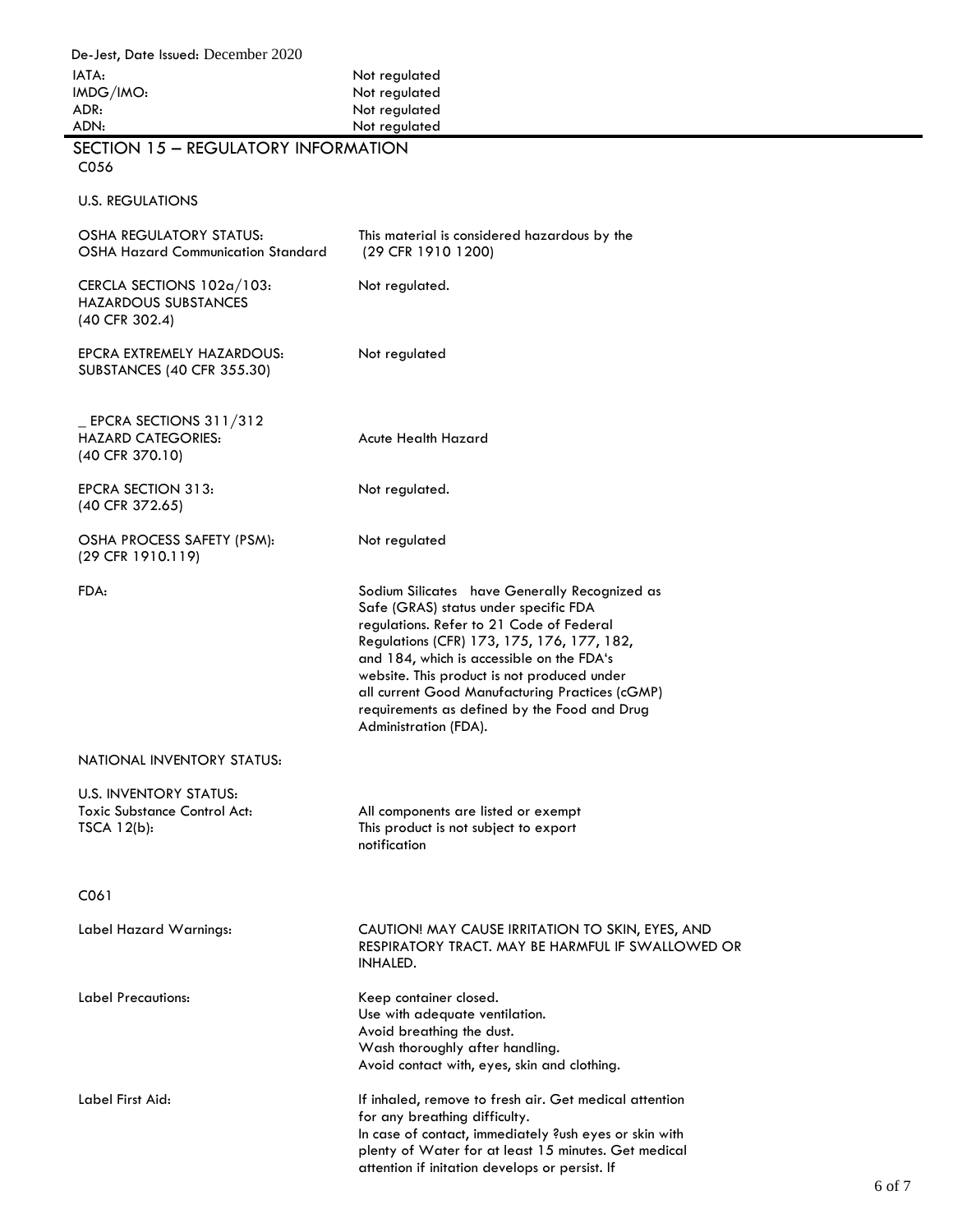| De-Jest, Date Issued: December 2020                                                 |                                                                                                                                                                                                                                                                                                                                                                                                          |        |
|-------------------------------------------------------------------------------------|----------------------------------------------------------------------------------------------------------------------------------------------------------------------------------------------------------------------------------------------------------------------------------------------------------------------------------------------------------------------------------------------------------|--------|
| IATA:                                                                               | Not regulated                                                                                                                                                                                                                                                                                                                                                                                            |        |
| IMDG/IMO:                                                                           | Not regulated                                                                                                                                                                                                                                                                                                                                                                                            |        |
| ADR:                                                                                | Not regulated                                                                                                                                                                                                                                                                                                                                                                                            |        |
| ADN:                                                                                | Not regulated                                                                                                                                                                                                                                                                                                                                                                                            |        |
| SECTION 15 - REGULATORY INFORMATION<br>C056                                         |                                                                                                                                                                                                                                                                                                                                                                                                          |        |
| <b>U.S. REGULATIONS</b>                                                             |                                                                                                                                                                                                                                                                                                                                                                                                          |        |
| <b>OSHA REGULATORY STATUS:</b><br><b>OSHA Hazard Communication Standard</b>         | This material is considered hazardous by the<br>(29 CFR 1910 1200)                                                                                                                                                                                                                                                                                                                                       |        |
| CERCLA SECTIONS 102a/103:<br><b>HAZARDOUS SUBSTANCES</b><br>(40 CFR 302.4)          | Not regulated.                                                                                                                                                                                                                                                                                                                                                                                           |        |
| EPCRA EXTREMELY HAZARDOUS:<br>SUBSTANCES (40 CFR 355.30)                            | Not regulated                                                                                                                                                                                                                                                                                                                                                                                            |        |
| $EPCRA$ SECTIONS 311/312<br><b>HAZARD CATEGORIES:</b><br>(40 CFR 370.10)            | Acute Health Hazard                                                                                                                                                                                                                                                                                                                                                                                      |        |
| <b>EPCRA SECTION 313:</b><br>(40 CFR 372.65)                                        | Not regulated.                                                                                                                                                                                                                                                                                                                                                                                           |        |
| OSHA PROCESS SAFETY (PSM):<br>(29 CFR 1910.119)                                     | Not regulated                                                                                                                                                                                                                                                                                                                                                                                            |        |
| FDA:                                                                                | Sodium Silicates have Generally Recognized as<br>Safe (GRAS) status under specific FDA<br>regulations. Refer to 21 Code of Federal<br>Regulations (CFR) 173, 175, 176, 177, 182,<br>and 184, which is accessible on the FDA's<br>website. This product is not produced under<br>all current Good Manufacturing Practices (cGMP)<br>requirements as defined by the Food and Drug<br>Administration (FDA). |        |
| NATIONAL INVENTORY STATUS:                                                          |                                                                                                                                                                                                                                                                                                                                                                                                          |        |
| <b>U.S. INVENTORY STATUS:</b><br><b>Toxic Substance Control Act:</b><br>TSCA 12(b): | All components are listed or exempt<br>This product is not subject to export<br>notification                                                                                                                                                                                                                                                                                                             |        |
| C <sub>06</sub> 1                                                                   |                                                                                                                                                                                                                                                                                                                                                                                                          |        |
| Label Hazard Warnings:                                                              | CAUTION! MAY CAUSE IRRITATION TO SKIN, EYES, AND<br>RESPIRATORY TRACT. MAY BE HARMFUL IF SWALLOWED OR<br>INHALED.                                                                                                                                                                                                                                                                                        |        |
| Label Precautions:                                                                  | Keep container closed.<br>Use with adequate ventilation.<br>Avoid breathing the dust.<br>Wash thoroughly after handling.<br>Avoid contact with, eyes, skin and clothing.                                                                                                                                                                                                                                 |        |
| Label First Aid:                                                                    | If inhaled, remove to fresh air. Get medical attention<br>for any breathing difficulty.<br>In case of contact, immediately ?ush eyes or skin with<br>plenty of Water for at least 15 minutes. Get medical<br>attention if initation develops or persist. If                                                                                                                                              | 6 of 7 |

 $\blacksquare$